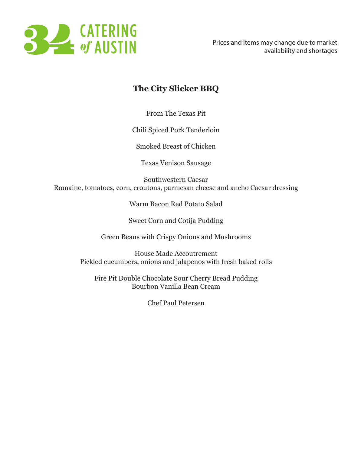

## **The City Slicker BBQ**

From The Texas Pit

Chili Spiced Pork Tenderloin

Smoked Breast of Chicken

Texas Venison Sausage

Southwestern Caesar Romaine, tomatoes, corn, croutons, parmesan cheese and ancho Caesar dressing

Warm Bacon Red Potato Salad

Sweet Corn and Cotija Pudding

Green Beans with Crispy Onions and Mushrooms

House Made Accoutrement Pickled cucumbers, onions and jalapenos with fresh baked rolls

Fire Pit Double Chocolate Sour Cherry Bread Pudding Bourbon Vanilla Bean Cream

Chef Paul Petersen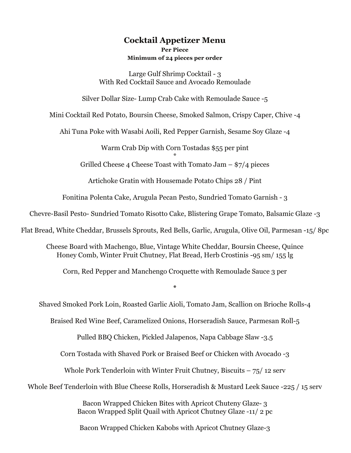### **Cocktail Appetizer Menu Per Piece Minimum of 24 pieces per order**

Large Gulf Shrimp Cocktail - 3 With Red Cocktail Sauce and Avocado Remoulade

Silver Dollar Size- Lump Crab Cake with Remoulade Sauce -5

Mini Cocktail Red Potato, Boursin Cheese, Smoked Salmon, Crispy Caper, Chive -4

Ahi Tuna Poke with Wasabi Aoili, Red Pepper Garnish, Sesame Soy Glaze -4

Warm Crab Dip with Corn Tostadas \$55 per pint \*

Grilled Cheese 4 Cheese Toast with Tomato Jam  $-$  \$7/4 pieces

Artichoke Gratin with Housemade Potato Chips 28 / Pint

Fonitina Polenta Cake, Arugula Pecan Pesto, Sundried Tomato Garnish - 3

Chevre-Basil Pesto- Sundried Tomato Risotto Cake, Blistering Grape Tomato, Balsamic Glaze -3

Flat Bread, White Cheddar, Brussels Sprouts, Red Bells, Garlic, Arugula, Olive Oil, Parmesan -15/ 8pc

Cheese Board with Machengo, Blue, Vintage White Cheddar, Boursin Cheese, Quince Honey Comb, Winter Fruit Chutney, Flat Bread, Herb Crostinis -95 sm/ 155 lg

Corn, Red Pepper and Manchengo Croquette with Remoulade Sauce 3 per

**\***

Shaved Smoked Pork Loin, Roasted Garlic Aioli, Tomato Jam, Scallion on Brioche Rolls-4

Braised Red Wine Beef, Caramelized Onions, Horseradish Sauce, Parmesan Roll-5

Pulled BBQ Chicken, Pickled Jalapenos, Napa Cabbage Slaw -3.5

Corn Tostada with Shaved Pork or Braised Beef or Chicken with Avocado -3

Whole Pork Tenderloin with Winter Fruit Chutney, Biscuits  $-75/12$  serv

Whole Beef Tenderloin with Blue Cheese Rolls, Horseradish & Mustard Leek Sauce -225 / 15 serv

Bacon Wrapped Chicken Bites with Apricot Chuteny Glaze- 3 Bacon Wrapped Split Quail with Apricot Chutney Glaze -11/ 2 pc

Bacon Wrapped Chicken Kabobs with Apricot Chutney Glaze-3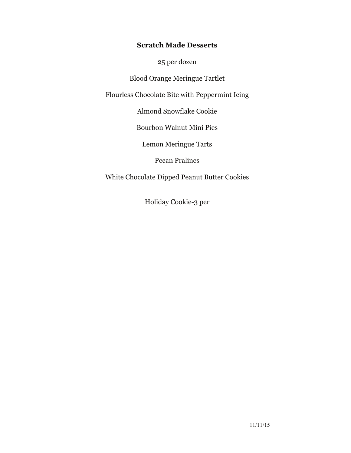### **Scratch Made Desserts**

25 per dozen

Blood Orange Meringue Tartlet

Flourless Chocolate Bite with Peppermint Icing

Almond Snowflake Cookie

Bourbon Walnut Mini Pies

Lemon Meringue Tarts

Pecan Pralines

White Chocolate Dipped Peanut Butter Cookies

Holiday Cookie-3 per